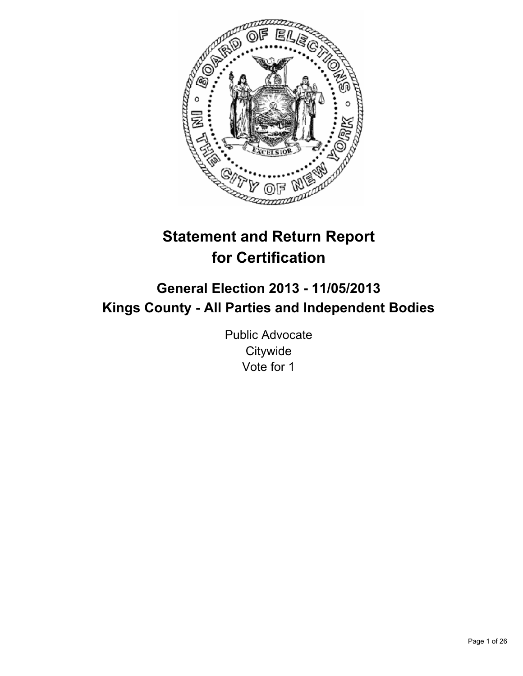

# **Statement and Return Report for Certification**

## **General Election 2013 - 11/05/2013 Kings County - All Parties and Independent Bodies**

Public Advocate **Citywide** Vote for 1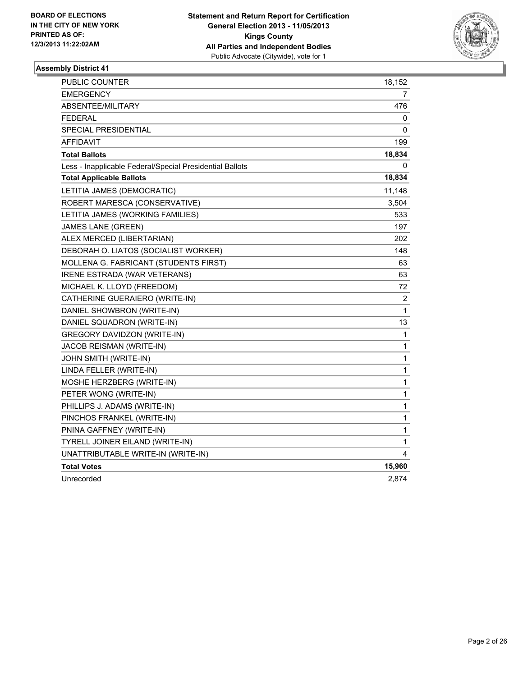

| <b>PUBLIC COUNTER</b>                                    | 18,152         |
|----------------------------------------------------------|----------------|
| EMERGENCY                                                | 7              |
| ABSENTEE/MILITARY                                        | 476            |
| <b>FEDERAL</b>                                           | 0              |
| SPECIAL PRESIDENTIAL                                     | 0              |
| AFFIDAVIT                                                | 199            |
| <b>Total Ballots</b>                                     | 18,834         |
| Less - Inapplicable Federal/Special Presidential Ballots | 0              |
| <b>Total Applicable Ballots</b>                          | 18,834         |
| LETITIA JAMES (DEMOCRATIC)                               | 11,148         |
| ROBERT MARESCA (CONSERVATIVE)                            | 3,504          |
| LETITIA JAMES (WORKING FAMILIES)                         | 533            |
| <b>JAMES LANE (GREEN)</b>                                | 197            |
| ALEX MERCED (LIBERTARIAN)                                | 202            |
| DEBORAH O. LIATOS (SOCIALIST WORKER)                     | 148            |
| MOLLENA G. FABRICANT (STUDENTS FIRST)                    | 63             |
| <b>IRENE ESTRADA (WAR VETERANS)</b>                      | 63             |
| MICHAEL K. LLOYD (FREEDOM)                               | 72             |
| CATHERINE GUERAIERO (WRITE-IN)                           | $\overline{2}$ |
| DANIEL SHOWBRON (WRITE-IN)                               | 1              |
| DANIEL SQUADRON (WRITE-IN)                               | 13             |
| GREGORY DAVIDZON (WRITE-IN)                              | $\mathbf{1}$   |
| <b>JACOB REISMAN (WRITE-IN)</b>                          | $\mathbf{1}$   |
| JOHN SMITH (WRITE-IN)                                    | 1              |
| LINDA FELLER (WRITE-IN)                                  | 1              |
| MOSHE HERZBERG (WRITE-IN)                                | $\mathbf{1}$   |
| PETER WONG (WRITE-IN)                                    | $\mathbf{1}$   |
| PHILLIPS J. ADAMS (WRITE-IN)                             | 1              |
| PINCHOS FRANKEL (WRITE-IN)                               | 1              |
| PNINA GAFFNEY (WRITE-IN)                                 | 1              |
| TYRELL JOINER EILAND (WRITE-IN)                          | $\mathbf 1$    |
| UNATTRIBUTABLE WRITE-IN (WRITE-IN)                       | 4              |
| <b>Total Votes</b>                                       | 15,960         |
| Unrecorded                                               | 2,874          |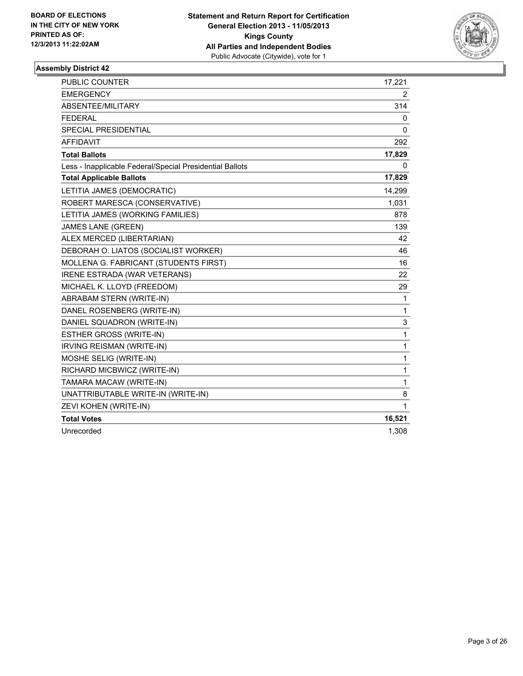

| <b>PUBLIC COUNTER</b>                                    | 17,221         |
|----------------------------------------------------------|----------------|
| <b>EMERGENCY</b>                                         | $\overline{2}$ |
| ABSENTEE/MILITARY                                        | 314            |
| <b>FEDERAL</b>                                           | 0              |
| <b>SPECIAL PRESIDENTIAL</b>                              | 0              |
| <b>AFFIDAVIT</b>                                         | 292            |
| <b>Total Ballots</b>                                     | 17,829         |
| Less - Inapplicable Federal/Special Presidential Ballots | 0              |
| <b>Total Applicable Ballots</b>                          | 17,829         |
| LETITIA JAMES (DEMOCRATIC)                               | 14,299         |
| ROBERT MARESCA (CONSERVATIVE)                            | 1,031          |
| LETITIA JAMES (WORKING FAMILIES)                         | 878            |
| <b>JAMES LANE (GREEN)</b>                                | 139            |
| ALEX MERCED (LIBERTARIAN)                                | 42             |
| DEBORAH O. LIATOS (SOCIALIST WORKER)                     | 46             |
| MOLLENA G. FABRICANT (STUDENTS FIRST)                    | 16             |
| IRENE ESTRADA (WAR VETERANS)                             | 22             |
| MICHAEL K. LLOYD (FREEDOM)                               | 29             |
| ABRABAM STERN (WRITE-IN)                                 | 1              |
| DANEL ROSENBERG (WRITE-IN)                               | 1              |
| DANIEL SQUADRON (WRITE-IN)                               | 3              |
| <b>ESTHER GROSS (WRITE-IN)</b>                           | 1              |
| <b>IRVING REISMAN (WRITE-IN)</b>                         | 1              |
| MOSHE SELIG (WRITE-IN)                                   | 1              |
| RICHARD MICBWICZ (WRITE-IN)                              | 1              |
| TAMARA MACAW (WRITE-IN)                                  | 1              |
| UNATTRIBUTABLE WRITE-IN (WRITE-IN)                       | 8              |
| ZEVI KOHEN (WRITE-IN)                                    | 1              |
| <b>Total Votes</b>                                       | 16,521         |
| Unrecorded                                               | 1,308          |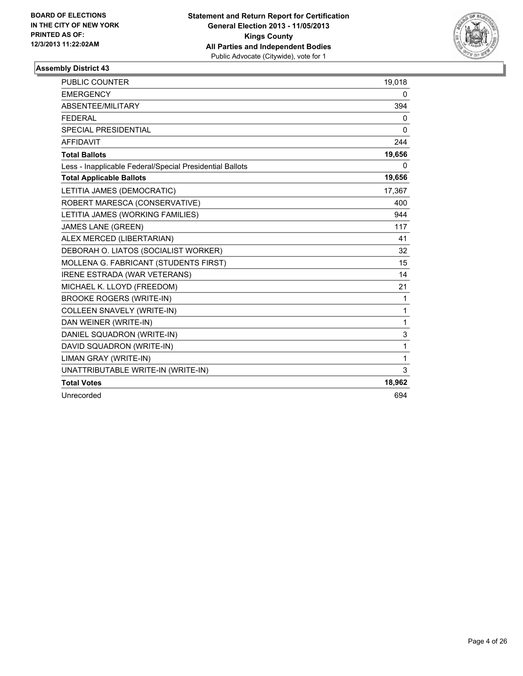

| <b>PUBLIC COUNTER</b>                                    | 19,018 |
|----------------------------------------------------------|--------|
| <b>EMERGENCY</b>                                         | 0      |
| ABSENTEE/MILITARY                                        | 394    |
| <b>FEDERAL</b>                                           | 0      |
| <b>SPECIAL PRESIDENTIAL</b>                              | 0      |
| <b>AFFIDAVIT</b>                                         | 244    |
| <b>Total Ballots</b>                                     | 19,656 |
| Less - Inapplicable Federal/Special Presidential Ballots | 0      |
| <b>Total Applicable Ballots</b>                          | 19,656 |
| LETITIA JAMES (DEMOCRATIC)                               | 17,367 |
| ROBERT MARESCA (CONSERVATIVE)                            | 400    |
| LETITIA JAMES (WORKING FAMILIES)                         | 944    |
| <b>JAMES LANE (GREEN)</b>                                | 117    |
| ALEX MERCED (LIBERTARIAN)                                | 41     |
| DEBORAH O. LIATOS (SOCIALIST WORKER)                     | 32     |
| MOLLENA G. FABRICANT (STUDENTS FIRST)                    | 15     |
| <b>IRENE ESTRADA (WAR VETERANS)</b>                      | 14     |
| MICHAEL K. LLOYD (FREEDOM)                               | 21     |
| <b>BROOKE ROGERS (WRITE-IN)</b>                          | 1      |
| <b>COLLEEN SNAVELY (WRITE-IN)</b>                        | 1      |
| DAN WEINER (WRITE-IN)                                    | 1      |
| DANIEL SQUADRON (WRITE-IN)                               | 3      |
| DAVID SQUADRON (WRITE-IN)                                | 1      |
| LIMAN GRAY (WRITE-IN)                                    | 1      |
| UNATTRIBUTABLE WRITE-IN (WRITE-IN)                       | 3      |
| <b>Total Votes</b>                                       | 18,962 |
| Unrecorded                                               | 694    |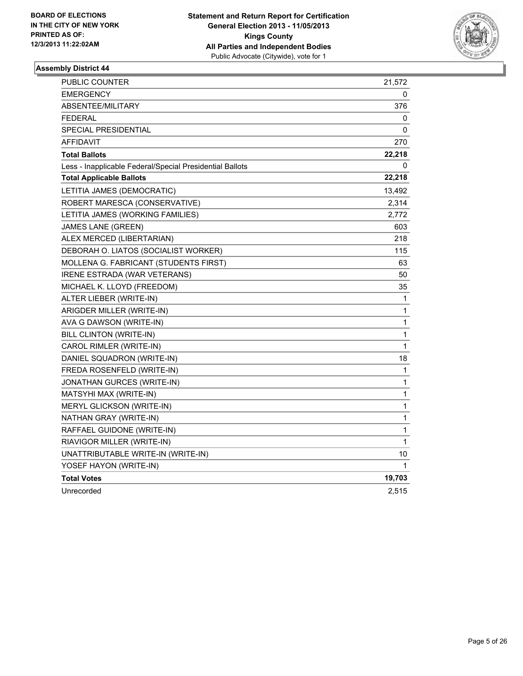

| PUBLIC COUNTER                                           | 21,572      |
|----------------------------------------------------------|-------------|
| <b>EMERGENCY</b>                                         | 0           |
| ABSENTEE/MILITARY                                        | 376         |
| <b>FEDERAL</b>                                           | 0           |
| <b>SPECIAL PRESIDENTIAL</b>                              | 0           |
| <b>AFFIDAVIT</b>                                         | 270         |
| <b>Total Ballots</b>                                     | 22,218      |
| Less - Inapplicable Federal/Special Presidential Ballots | 0           |
| <b>Total Applicable Ballots</b>                          | 22,218      |
| LETITIA JAMES (DEMOCRATIC)                               | 13,492      |
| ROBERT MARESCA (CONSERVATIVE)                            | 2,314       |
| LETITIA JAMES (WORKING FAMILIES)                         | 2,772       |
| <b>JAMES LANE (GREEN)</b>                                | 603         |
| ALEX MERCED (LIBERTARIAN)                                | 218         |
| DEBORAH O. LIATOS (SOCIALIST WORKER)                     | 115         |
| MOLLENA G. FABRICANT (STUDENTS FIRST)                    | 63          |
| IRENE ESTRADA (WAR VETERANS)                             | 50          |
| MICHAEL K. LLOYD (FREEDOM)                               | 35          |
| ALTER LIEBER (WRITE-IN)                                  | 1           |
| ARIGDER MILLER (WRITE-IN)                                | 1           |
| AVA G DAWSON (WRITE-IN)                                  | 1           |
| <b>BILL CLINTON (WRITE-IN)</b>                           | 1           |
| CAROL RIMLER (WRITE-IN)                                  | $\mathbf 1$ |
| DANIEL SQUADRON (WRITE-IN)                               | 18          |
| FREDA ROSENFELD (WRITE-IN)                               | 1           |
| JONATHAN GURCES (WRITE-IN)                               | 1           |
| MATSYHI MAX (WRITE-IN)                                   | 1           |
| MERYL GLICKSON (WRITE-IN)                                | 1           |
| NATHAN GRAY (WRITE-IN)                                   | 1           |
| RAFFAEL GUIDONE (WRITE-IN)                               | 1           |
| RIAVIGOR MILLER (WRITE-IN)                               | 1           |
| UNATTRIBUTABLE WRITE-IN (WRITE-IN)                       | 10          |
| YOSEF HAYON (WRITE-IN)                                   | 1           |
| <b>Total Votes</b>                                       | 19,703      |
| Unrecorded                                               | 2,515       |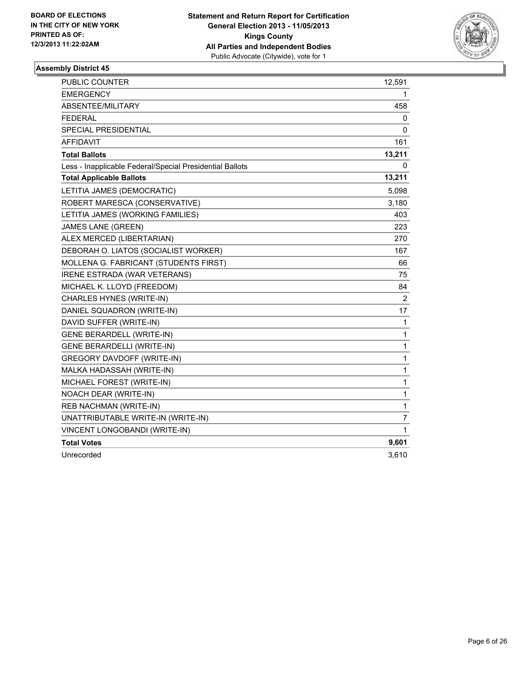

| PUBLIC COUNTER                                           | 12,591         |
|----------------------------------------------------------|----------------|
| <b>EMERGENCY</b>                                         | 1              |
| ABSENTEE/MILITARY                                        | 458            |
| <b>FEDERAL</b>                                           | 0              |
| SPECIAL PRESIDENTIAL                                     | 0              |
| <b>AFFIDAVIT</b>                                         | 161            |
| <b>Total Ballots</b>                                     | 13,211         |
| Less - Inapplicable Federal/Special Presidential Ballots | 0              |
| <b>Total Applicable Ballots</b>                          | 13,211         |
| LETITIA JAMES (DEMOCRATIC)                               | 5,098          |
| ROBERT MARESCA (CONSERVATIVE)                            | 3,180          |
| LETITIA JAMES (WORKING FAMILIES)                         | 403            |
| <b>JAMES LANE (GREEN)</b>                                | 223            |
| ALEX MERCED (LIBERTARIAN)                                | 270            |
| DEBORAH O. LIATOS (SOCIALIST WORKER)                     | 167            |
| MOLLENA G. FABRICANT (STUDENTS FIRST)                    | 66             |
| <b>IRENE ESTRADA (WAR VETERANS)</b>                      | 75             |
| MICHAEL K. LLOYD (FREEDOM)                               | 84             |
| CHARLES HYNES (WRITE-IN)                                 | $\overline{2}$ |
| DANIEL SQUADRON (WRITE-IN)                               | 17             |
| DAVID SUFFER (WRITE-IN)                                  | 1              |
| <b>GENE BERARDELL (WRITE-IN)</b>                         | 1              |
| <b>GENE BERARDELLI (WRITE-IN)</b>                        | 1              |
| <b>GREGORY DAVDOFF (WRITE-IN)</b>                        | 1              |
| MALKA HADASSAH (WRITE-IN)                                | 1              |
| MICHAEL FOREST (WRITE-IN)                                | 1              |
| NOACH DEAR (WRITE-IN)                                    | $\mathbf{1}$   |
| <b>REB NACHMAN (WRITE-IN)</b>                            | 1              |
| UNATTRIBUTABLE WRITE-IN (WRITE-IN)                       | 7              |
| VINCENT LONGOBANDI (WRITE-IN)                            | 1              |
| <b>Total Votes</b>                                       | 9,601          |
| Unrecorded                                               | 3,610          |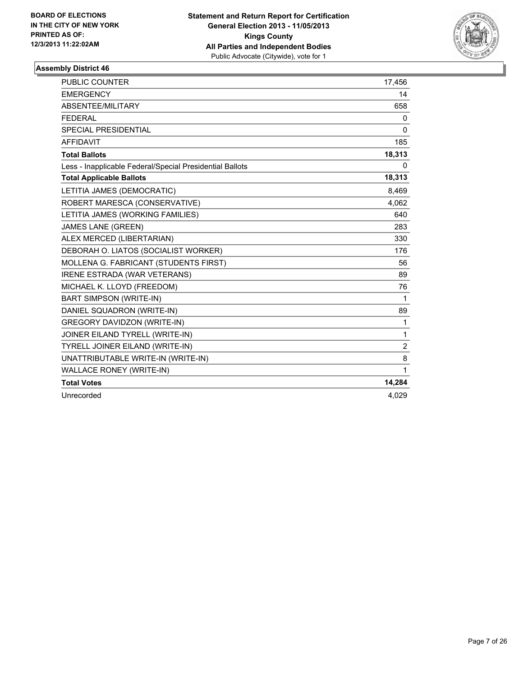

| <b>PUBLIC COUNTER</b>                                    | 17,456         |
|----------------------------------------------------------|----------------|
| <b>EMERGENCY</b>                                         | 14             |
| ABSENTEE/MILITARY                                        | 658            |
| <b>FEDERAL</b>                                           | 0              |
| <b>SPECIAL PRESIDENTIAL</b>                              | 0              |
| <b>AFFIDAVIT</b>                                         | 185            |
| <b>Total Ballots</b>                                     | 18,313         |
| Less - Inapplicable Federal/Special Presidential Ballots | 0              |
| <b>Total Applicable Ballots</b>                          | 18,313         |
| LETITIA JAMES (DEMOCRATIC)                               | 8,469          |
| ROBERT MARESCA (CONSERVATIVE)                            | 4,062          |
| LETITIA JAMES (WORKING FAMILIES)                         | 640            |
| <b>JAMES LANE (GREEN)</b>                                | 283            |
| ALEX MERCED (LIBERTARIAN)                                | 330            |
| DEBORAH O. LIATOS (SOCIALIST WORKER)                     | 176            |
| MOLLENA G. FABRICANT (STUDENTS FIRST)                    | 56             |
| <b>IRENE ESTRADA (WAR VETERANS)</b>                      | 89             |
| MICHAEL K. LLOYD (FREEDOM)                               | 76             |
| <b>BART SIMPSON (WRITE-IN)</b>                           | 1              |
| DANIEL SQUADRON (WRITE-IN)                               | 89             |
| <b>GREGORY DAVIDZON (WRITE-IN)</b>                       | 1              |
| JOINER EILAND TYRELL (WRITE-IN)                          | 1              |
| TYRELL JOINER EILAND (WRITE-IN)                          | $\overline{2}$ |
| UNATTRIBUTABLE WRITE-IN (WRITE-IN)                       | 8              |
| <b>WALLACE RONEY (WRITE-IN)</b>                          | 1              |
| <b>Total Votes</b>                                       | 14,284         |
| Unrecorded                                               | 4,029          |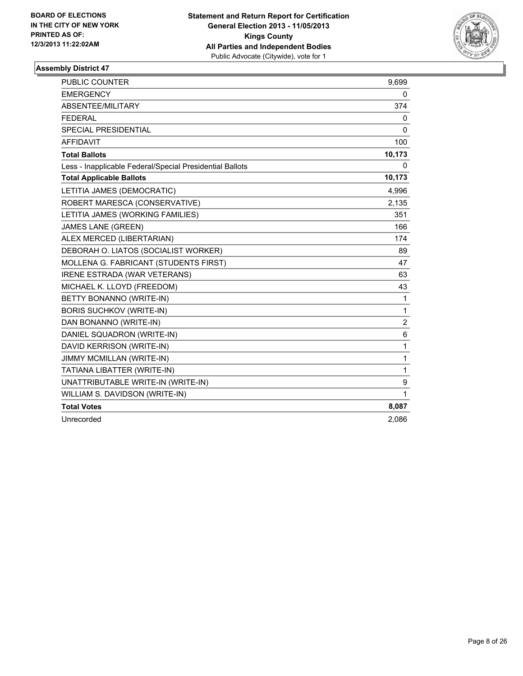

| <b>PUBLIC COUNTER</b>                                    | 9,699          |
|----------------------------------------------------------|----------------|
| <b>EMERGENCY</b>                                         | 0              |
| ABSENTEE/MILITARY                                        | 374            |
| <b>FEDERAL</b>                                           | 0              |
| <b>SPECIAL PRESIDENTIAL</b>                              | 0              |
| <b>AFFIDAVIT</b>                                         | 100            |
| <b>Total Ballots</b>                                     | 10,173         |
| Less - Inapplicable Federal/Special Presidential Ballots | 0              |
| <b>Total Applicable Ballots</b>                          | 10,173         |
| LETITIA JAMES (DEMOCRATIC)                               | 4,996          |
| ROBERT MARESCA (CONSERVATIVE)                            | 2,135          |
| LETITIA JAMES (WORKING FAMILIES)                         | 351            |
| <b>JAMES LANE (GREEN)</b>                                | 166            |
| ALEX MERCED (LIBERTARIAN)                                | 174            |
| DEBORAH O. LIATOS (SOCIALIST WORKER)                     | 89             |
| MOLLENA G. FABRICANT (STUDENTS FIRST)                    | 47             |
| IRENE ESTRADA (WAR VETERANS)                             | 63             |
| MICHAEL K. LLOYD (FREEDOM)                               | 43             |
| BETTY BONANNO (WRITE-IN)                                 | $\mathbf{1}$   |
| <b>BORIS SUCHKOV (WRITE-IN)</b>                          | 1              |
| DAN BONANNO (WRITE-IN)                                   | $\overline{2}$ |
| DANIEL SQUADRON (WRITE-IN)                               | 6              |
| DAVID KERRISON (WRITE-IN)                                | $\mathbf{1}$   |
| JIMMY MCMILLAN (WRITE-IN)                                | $\mathbf{1}$   |
| TATIANA LIBATTER (WRITE-IN)                              | 1              |
| UNATTRIBUTABLE WRITE-IN (WRITE-IN)                       | 9              |
| WILLIAM S. DAVIDSON (WRITE-IN)                           | 1              |
| <b>Total Votes</b>                                       | 8,087          |
| Unrecorded                                               | 2,086          |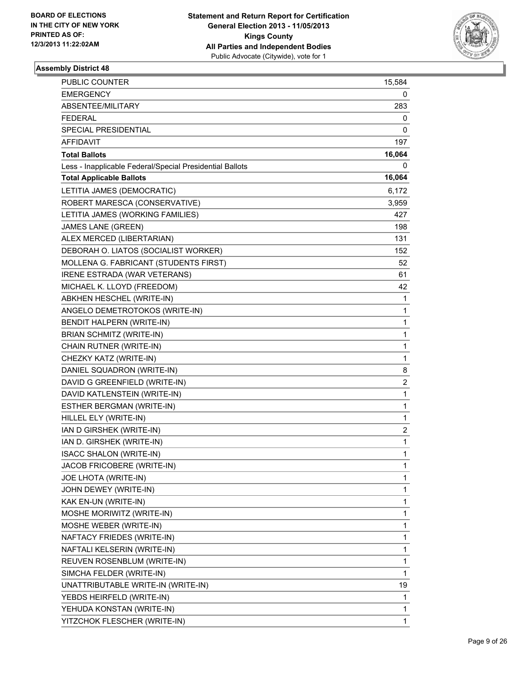

| <b>PUBLIC COUNTER</b>                                    | 15,584         |
|----------------------------------------------------------|----------------|
| <b>EMERGENCY</b>                                         | 0              |
| ABSENTEE/MILITARY                                        | 283            |
| <b>FEDERAL</b>                                           | 0              |
| SPECIAL PRESIDENTIAL                                     | 0              |
| <b>AFFIDAVIT</b>                                         | 197            |
| <b>Total Ballots</b>                                     | 16,064         |
| Less - Inapplicable Federal/Special Presidential Ballots | 0              |
| <b>Total Applicable Ballots</b>                          | 16,064         |
| LETITIA JAMES (DEMOCRATIC)                               | 6,172          |
| ROBERT MARESCA (CONSERVATIVE)                            | 3,959          |
| LETITIA JAMES (WORKING FAMILIES)                         | 427            |
| JAMES LANE (GREEN)                                       | 198            |
| ALEX MERCED (LIBERTARIAN)                                | 131            |
| DEBORAH O. LIATOS (SOCIALIST WORKER)                     | 152            |
| MOLLENA G. FABRICANT (STUDENTS FIRST)                    | 52             |
| IRENE ESTRADA (WAR VETERANS)                             | 61             |
| MICHAEL K. LLOYD (FREEDOM)                               | 42             |
| ABKHEN HESCHEL (WRITE-IN)                                | 1              |
| ANGELO DEMETROTOKOS (WRITE-IN)                           | 1              |
| BENDIT HALPERN (WRITE-IN)                                | 1              |
| <b>BRIAN SCHMITZ (WRITE-IN)</b>                          | 1              |
| CHAIN RUTNER (WRITE-IN)                                  | 1              |
| CHEZKY KATZ (WRITE-IN)                                   | 1              |
| DANIEL SQUADRON (WRITE-IN)                               | 8              |
| DAVID G GREENFIELD (WRITE-IN)                            | $\overline{2}$ |
| DAVID KATLENSTEIN (WRITE-IN)                             | 1              |
| ESTHER BERGMAN (WRITE-IN)                                | 1              |
| HILLEL ELY (WRITE-IN)                                    | 1              |
| IAN D GIRSHEK (WRITE-IN)                                 | 2              |
| IAN D. GIRSHEK (WRITE-IN)                                | 1              |
| <b>ISACC SHALON (WRITE-IN)</b>                           | 1              |
| JACOB FRICOBERE (WRITE-IN)                               | 1              |
| JOE LHOTA (WRITE-IN)                                     | 1              |
| JOHN DEWEY (WRITE-IN)                                    | 1              |
| KAK EN-UN (WRITE-IN)                                     | 1              |
| MOSHE MORIWITZ (WRITE-IN)                                | 1              |
| MOSHE WEBER (WRITE-IN)                                   | 1              |
| NAFTACY FRIEDES (WRITE-IN)                               | 1              |
| NAFTALI KELSERIN (WRITE-IN)                              | 1              |
| REUVEN ROSENBLUM (WRITE-IN)                              | 1              |
| SIMCHA FELDER (WRITE-IN)                                 | 1              |
| UNATTRIBUTABLE WRITE-IN (WRITE-IN)                       | 19             |
| YEBDS HEIRFELD (WRITE-IN)                                | 1              |
| YEHUDA KONSTAN (WRITE-IN)                                | 1              |
| YITZCHOK FLESCHER (WRITE-IN)                             | 1              |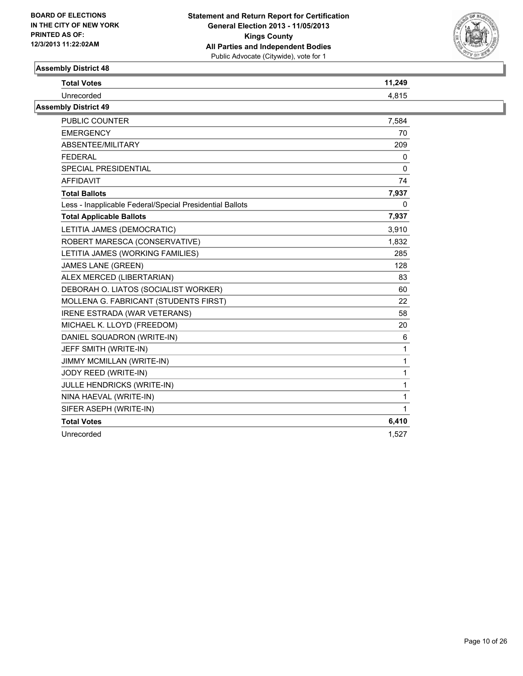

| <b>Total Votes</b>          | 11,249 |
|-----------------------------|--------|
| Unrecorded                  | 4.815  |
| <b>Assembly District 49</b> |        |

| PUBLIC COUNTER                                           | 7,584        |
|----------------------------------------------------------|--------------|
| <b>EMERGENCY</b>                                         | 70           |
| ABSENTEE/MILITARY                                        | 209          |
| <b>FEDERAL</b>                                           | 0            |
| SPECIAL PRESIDENTIAL                                     | $\Omega$     |
| <b>AFFIDAVIT</b>                                         | 74           |
| <b>Total Ballots</b>                                     | 7,937        |
| Less - Inapplicable Federal/Special Presidential Ballots | $\mathbf{0}$ |
| <b>Total Applicable Ballots</b>                          | 7,937        |
| LETITIA JAMES (DEMOCRATIC)                               | 3,910        |
| ROBERT MARESCA (CONSERVATIVE)                            | 1,832        |
| LETITIA JAMES (WORKING FAMILIES)                         | 285          |
| <b>JAMES LANE (GREEN)</b>                                | 128          |
| ALEX MERCED (LIBERTARIAN)                                | 83           |
| DEBORAH O. LIATOS (SOCIALIST WORKER)                     | 60           |
| MOLLENA G. FABRICANT (STUDENTS FIRST)                    | 22           |
| IRENE ESTRADA (WAR VETERANS)                             | 58           |
| MICHAEL K. LLOYD (FREEDOM)                               | 20           |
| DANIEL SQUADRON (WRITE-IN)                               | 6            |
| JEFF SMITH (WRITE-IN)                                    | 1            |
| JIMMY MCMILLAN (WRITE-IN)                                | 1            |
| JODY REED (WRITE-IN)                                     | $\mathbf{1}$ |
| JULLE HENDRICKS (WRITE-IN)                               | 1            |
| NINA HAEVAL (WRITE-IN)                                   | 1            |
| SIFER ASEPH (WRITE-IN)                                   | $\mathbf{1}$ |
| <b>Total Votes</b>                                       | 6,410        |
| Unrecorded                                               | 1,527        |
|                                                          |              |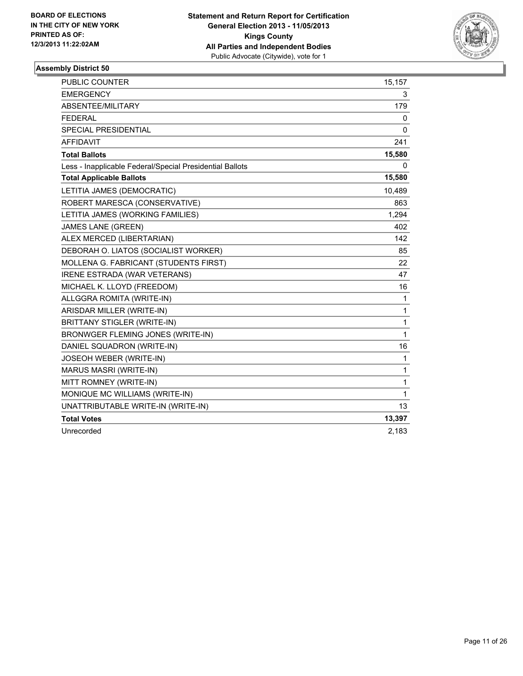

| <b>PUBLIC COUNTER</b>                                    | 15,157       |
|----------------------------------------------------------|--------------|
| <b>EMERGENCY</b>                                         | 3            |
| ABSENTEE/MILITARY                                        | 179          |
| <b>FEDERAL</b>                                           | 0            |
| <b>SPECIAL PRESIDENTIAL</b>                              | 0            |
| <b>AFFIDAVIT</b>                                         | 241          |
| <b>Total Ballots</b>                                     | 15,580       |
| Less - Inapplicable Federal/Special Presidential Ballots | 0            |
| <b>Total Applicable Ballots</b>                          | 15,580       |
| LETITIA JAMES (DEMOCRATIC)                               | 10,489       |
| ROBERT MARESCA (CONSERVATIVE)                            | 863          |
| LETITIA JAMES (WORKING FAMILIES)                         | 1,294        |
| <b>JAMES LANE (GREEN)</b>                                | 402          |
| ALEX MERCED (LIBERTARIAN)                                | 142          |
| DEBORAH O. LIATOS (SOCIALIST WORKER)                     | 85           |
| MOLLENA G. FABRICANT (STUDENTS FIRST)                    | 22           |
| <b>IRENE ESTRADA (WAR VETERANS)</b>                      | 47           |
| MICHAEL K. LLOYD (FREEDOM)                               | 16           |
| ALLGGRA ROMITA (WRITE-IN)                                | $\mathbf{1}$ |
| ARISDAR MILLER (WRITE-IN)                                | $\mathbf{1}$ |
| <b>BRITTANY STIGLER (WRITE-IN)</b>                       | 1            |
| BRONWGER FLEMING JONES (WRITE-IN)                        | 1            |
| DANIEL SQUADRON (WRITE-IN)                               | 16           |
| JOSEOH WEBER (WRITE-IN)                                  | 1            |
| MARUS MASRI (WRITE-IN)                                   | 1            |
| MITT ROMNEY (WRITE-IN)                                   | 1            |
| MONIQUE MC WILLIAMS (WRITE-IN)                           | 1            |
| UNATTRIBUTABLE WRITE-IN (WRITE-IN)                       | 13           |
| <b>Total Votes</b>                                       | 13,397       |
| Unrecorded                                               | 2,183        |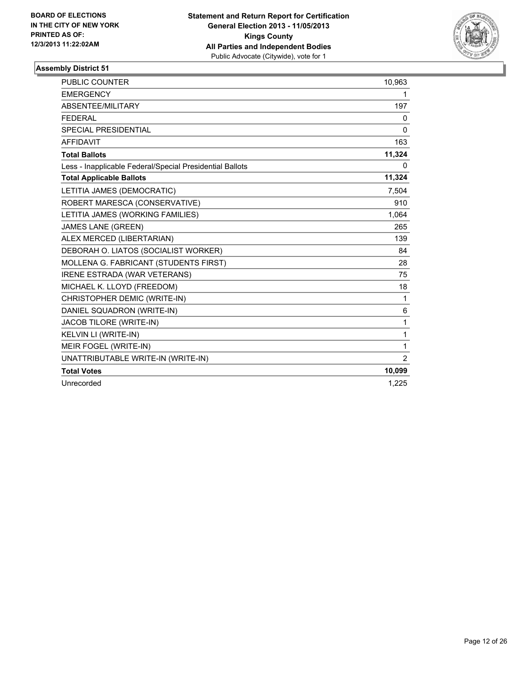

| <b>PUBLIC COUNTER</b>                                    | 10,963         |
|----------------------------------------------------------|----------------|
| <b>EMERGENCY</b>                                         | 1              |
| ABSENTEE/MILITARY                                        | 197            |
| <b>FEDERAL</b>                                           | 0              |
| <b>SPECIAL PRESIDENTIAL</b>                              | $\mathbf{0}$   |
| <b>AFFIDAVIT</b>                                         | 163            |
| <b>Total Ballots</b>                                     | 11,324         |
| Less - Inapplicable Federal/Special Presidential Ballots | 0              |
| <b>Total Applicable Ballots</b>                          | 11,324         |
| LETITIA JAMES (DEMOCRATIC)                               | 7,504          |
| ROBERT MARESCA (CONSERVATIVE)                            | 910            |
| LETITIA JAMES (WORKING FAMILIES)                         | 1,064          |
| <b>JAMES LANE (GREEN)</b>                                | 265            |
| ALEX MERCED (LIBERTARIAN)                                | 139            |
| DEBORAH O. LIATOS (SOCIALIST WORKER)                     | 84             |
| MOLLENA G. FABRICANT (STUDENTS FIRST)                    | 28             |
| <b>IRENE ESTRADA (WAR VETERANS)</b>                      | 75             |
| MICHAEL K. LLOYD (FREEDOM)                               | 18             |
| CHRISTOPHER DEMIC (WRITE-IN)                             | $\mathbf{1}$   |
| DANIEL SQUADRON (WRITE-IN)                               | 6              |
| JACOB TILORE (WRITE-IN)                                  | 1              |
| KELVIN LI (WRITE-IN)                                     | 1              |
| MEIR FOGEL (WRITE-IN)                                    | 1              |
| UNATTRIBUTABLE WRITE-IN (WRITE-IN)                       | $\overline{2}$ |
| <b>Total Votes</b>                                       | 10,099         |
| Unrecorded                                               | 1.225          |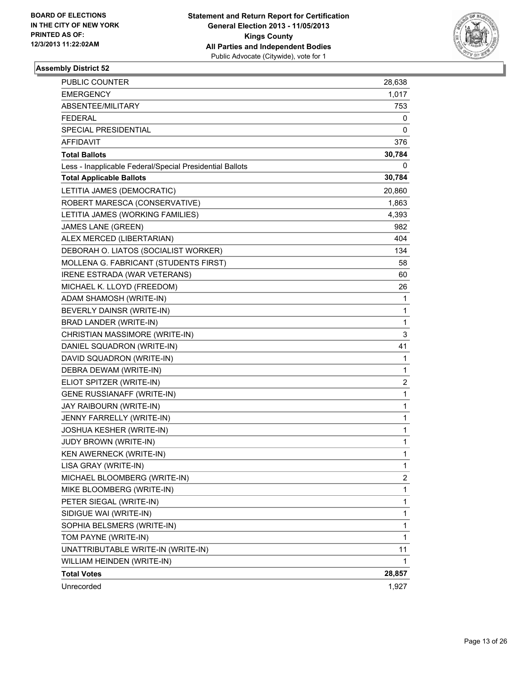

| <b>PUBLIC COUNTER</b>                                    | 28,638      |
|----------------------------------------------------------|-------------|
| <b>EMERGENCY</b>                                         | 1,017       |
| ABSENTEE/MILITARY                                        | 753         |
| <b>FEDERAL</b>                                           | 0           |
| SPECIAL PRESIDENTIAL                                     | 0           |
| AFFIDAVIT                                                | 376         |
| <b>Total Ballots</b>                                     | 30,784      |
| Less - Inapplicable Federal/Special Presidential Ballots | 0           |
| <b>Total Applicable Ballots</b>                          | 30,784      |
| LETITIA JAMES (DEMOCRATIC)                               | 20,860      |
| ROBERT MARESCA (CONSERVATIVE)                            | 1,863       |
| LETITIA JAMES (WORKING FAMILIES)                         | 4,393       |
| JAMES LANE (GREEN)                                       | 982         |
| ALEX MERCED (LIBERTARIAN)                                | 404         |
| DEBORAH O. LIATOS (SOCIALIST WORKER)                     | 134         |
| MOLLENA G. FABRICANT (STUDENTS FIRST)                    | 58          |
| IRENE ESTRADA (WAR VETERANS)                             | 60          |
| MICHAEL K. LLOYD (FREEDOM)                               | 26          |
| ADAM SHAMOSH (WRITE-IN)                                  | 1           |
| BEVERLY DAINSR (WRITE-IN)                                | 1           |
| BRAD LANDER (WRITE-IN)                                   | 1           |
| CHRISTIAN MASSIMORE (WRITE-IN)                           | 3           |
| DANIEL SQUADRON (WRITE-IN)                               | 41          |
| DAVID SQUADRON (WRITE-IN)                                | 1           |
| DEBRA DEWAM (WRITE-IN)                                   | 1           |
| ELIOT SPITZER (WRITE-IN)                                 | 2           |
| <b>GENE RUSSIANAFF (WRITE-IN)</b>                        | 1           |
| JAY RAIBOURN (WRITE-IN)                                  | 1           |
| JENNY FARRELLY (WRITE-IN)                                | 1           |
| <b>JOSHUA KESHER (WRITE-IN)</b>                          | $\mathbf 1$ |
| JUDY BROWN (WRITE-IN)                                    | 1           |
| KEN AWERNECK (WRITE-IN)                                  | 1           |
| LISA GRAY (WRITE-IN)                                     | 1           |
| MICHAEL BLOOMBERG (WRITE-IN)                             | 2           |
| MIKE BLOOMBERG (WRITE-IN)                                | 1           |
| PETER SIEGAL (WRITE-IN)                                  | 1           |
| SIDIGUE WAI (WRITE-IN)                                   | 1           |
| SOPHIA BELSMERS (WRITE-IN)                               | 1           |
| TOM PAYNE (WRITE-IN)                                     | 1           |
| UNATTRIBUTABLE WRITE-IN (WRITE-IN)                       | 11          |
| WILLIAM HEINDEN (WRITE-IN)                               | 1           |
| <b>Total Votes</b>                                       | 28,857      |
| Unrecorded                                               | 1,927       |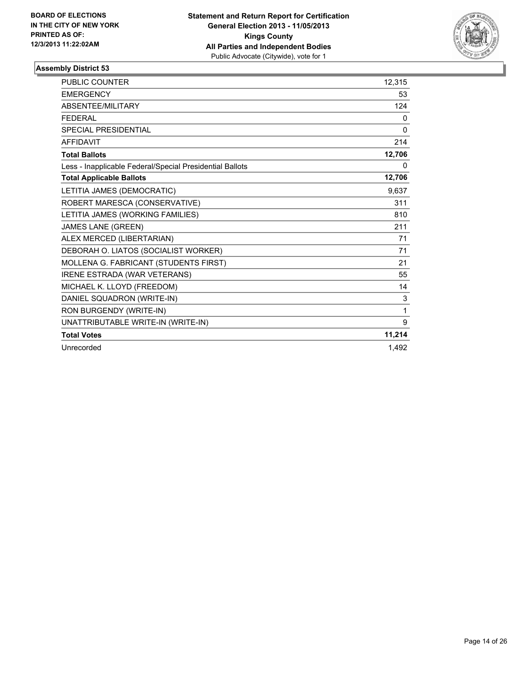

| PUBLIC COUNTER                                           | 12,315 |
|----------------------------------------------------------|--------|
| <b>EMERGENCY</b>                                         | 53     |
| <b>ABSENTEE/MILITARY</b>                                 | 124    |
| <b>FEDERAL</b>                                           | 0      |
| SPECIAL PRESIDENTIAL                                     | 0      |
| <b>AFFIDAVIT</b>                                         | 214    |
| <b>Total Ballots</b>                                     | 12,706 |
| Less - Inapplicable Federal/Special Presidential Ballots | 0      |
| <b>Total Applicable Ballots</b>                          | 12,706 |
| LETITIA JAMES (DEMOCRATIC)                               | 9,637  |
| ROBERT MARESCA (CONSERVATIVE)                            | 311    |
| LETITIA JAMES (WORKING FAMILIES)                         | 810    |
| <b>JAMES LANE (GREEN)</b>                                | 211    |
| ALEX MERCED (LIBERTARIAN)                                | 71     |
| DEBORAH O. LIATOS (SOCIALIST WORKER)                     | 71     |
| MOLLENA G. FABRICANT (STUDENTS FIRST)                    | 21     |
| <b>IRENE ESTRADA (WAR VETERANS)</b>                      | 55     |
| MICHAEL K. LLOYD (FREEDOM)                               | 14     |
| DANIEL SQUADRON (WRITE-IN)                               | 3      |
| RON BURGENDY (WRITE-IN)                                  | 1      |
| UNATTRIBUTABLE WRITE-IN (WRITE-IN)                       | 9      |
| <b>Total Votes</b>                                       | 11,214 |
| Unrecorded                                               | 1,492  |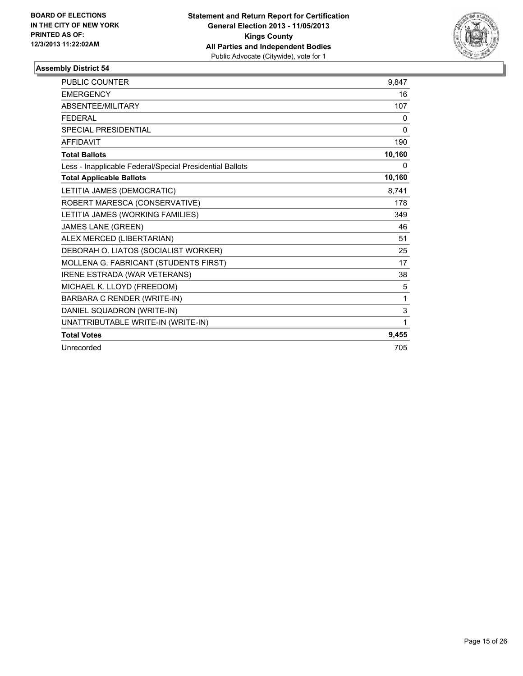

| PUBLIC COUNTER                                           | 9,847    |
|----------------------------------------------------------|----------|
| <b>EMERGENCY</b>                                         | 16       |
| ABSENTEE/MILITARY                                        | 107      |
| <b>FFDFRAI</b>                                           | 0        |
| SPECIAL PRESIDENTIAL                                     | $\Omega$ |
| <b>AFFIDAVIT</b>                                         | 190      |
| <b>Total Ballots</b>                                     | 10,160   |
| Less - Inapplicable Federal/Special Presidential Ballots | 0        |
| <b>Total Applicable Ballots</b>                          | 10,160   |
| LETITIA JAMES (DEMOCRATIC)                               | 8,741    |
| ROBERT MARESCA (CONSERVATIVE)                            | 178      |
| LETITIA JAMES (WORKING FAMILIES)                         | 349      |
| <b>JAMES LANE (GREEN)</b>                                | 46       |
| ALEX MERCED (LIBERTARIAN)                                | 51       |
| DEBORAH O. LIATOS (SOCIALIST WORKER)                     | 25       |
| MOLLENA G. FABRICANT (STUDENTS FIRST)                    | 17       |
| <b>IRENE ESTRADA (WAR VETERANS)</b>                      | 38       |
| MICHAEL K. LLOYD (FREEDOM)                               | 5        |
| BARBARA C RENDER (WRITE-IN)                              | 1        |
| DANIEL SQUADRON (WRITE-IN)                               | 3        |
| UNATTRIBUTABLE WRITE-IN (WRITE-IN)                       | 1        |
| <b>Total Votes</b>                                       | 9,455    |
| Unrecorded                                               | 705      |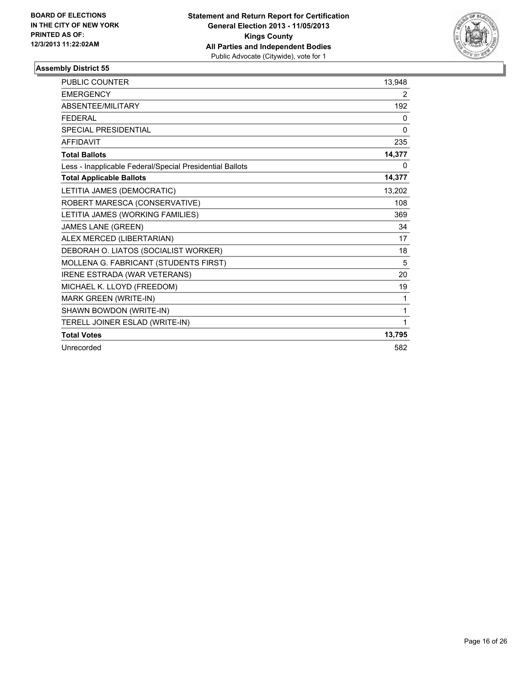

| <b>PUBLIC COUNTER</b>                                    | 13,948         |
|----------------------------------------------------------|----------------|
| <b>EMERGENCY</b>                                         | $\overline{2}$ |
| ABSENTEE/MILITARY                                        | 192            |
| <b>FEDERAL</b>                                           | 0              |
| <b>SPECIAL PRESIDENTIAL</b>                              | 0              |
| <b>AFFIDAVIT</b>                                         | 235            |
| <b>Total Ballots</b>                                     | 14,377         |
| Less - Inapplicable Federal/Special Presidential Ballots | 0              |
| <b>Total Applicable Ballots</b>                          | 14,377         |
| LETITIA JAMES (DEMOCRATIC)                               | 13,202         |
| ROBERT MARESCA (CONSERVATIVE)                            | 108            |
| LETITIA JAMES (WORKING FAMILIES)                         | 369            |
| <b>JAMES LANE (GREEN)</b>                                | 34             |
| ALEX MERCED (LIBERTARIAN)                                | 17             |
| DEBORAH O. LIATOS (SOCIALIST WORKER)                     | 18             |
| MOLLENA G. FABRICANT (STUDENTS FIRST)                    | 5              |
| <b>IRENE ESTRADA (WAR VETERANS)</b>                      | 20             |
| MICHAEL K. LLOYD (FREEDOM)                               | 19             |
| MARK GREEN (WRITE-IN)                                    | 1              |
| SHAWN BOWDON (WRITE-IN)                                  | 1              |
| TERELL JOINER ESLAD (WRITE-IN)                           | 1              |
| <b>Total Votes</b>                                       | 13,795         |
| Unrecorded                                               | 582            |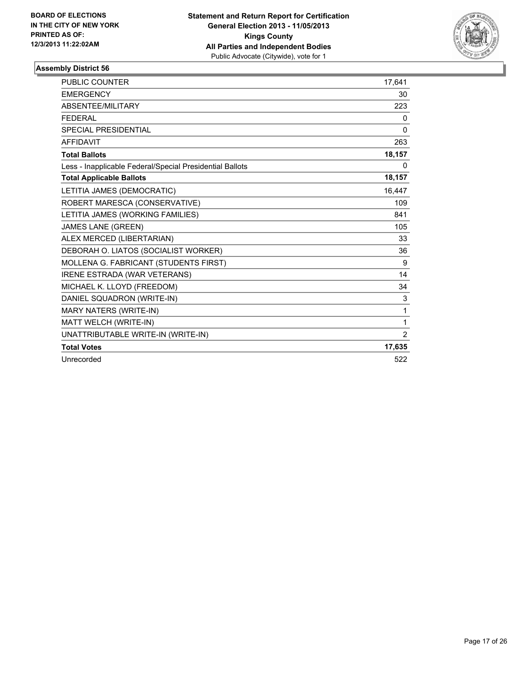

| PUBLIC COUNTER                                           | 17.641       |
|----------------------------------------------------------|--------------|
| <b>EMERGENCY</b>                                         | 30           |
| ABSENTEE/MILITARY                                        | 223          |
| <b>FEDERAL</b>                                           | 0            |
| <b>SPECIAL PRESIDENTIAL</b>                              | $\mathbf{0}$ |
| <b>AFFIDAVIT</b>                                         | 263          |
| <b>Total Ballots</b>                                     | 18,157       |
| Less - Inapplicable Federal/Special Presidential Ballots | 0            |
| <b>Total Applicable Ballots</b>                          | 18,157       |
| LETITIA JAMES (DEMOCRATIC)                               | 16.447       |
| ROBERT MARESCA (CONSERVATIVE)                            | 109          |
| LETITIA JAMES (WORKING FAMILIES)                         | 841          |
| JAMES LANE (GREEN)                                       | 105          |
| ALEX MERCED (LIBERTARIAN)                                | 33           |
| DEBORAH O. LIATOS (SOCIALIST WORKER)                     | 36           |
| MOLLENA G. FABRICANT (STUDENTS FIRST)                    | 9            |
| <b>IRENE ESTRADA (WAR VETERANS)</b>                      | 14           |
| MICHAEL K. LLOYD (FREEDOM)                               | 34           |
| DANIEL SQUADRON (WRITE-IN)                               | 3            |
| <b>MARY NATERS (WRITE-IN)</b>                            | 1            |
| MATT WELCH (WRITE-IN)                                    | 1            |
| UNATTRIBUTABLE WRITE-IN (WRITE-IN)                       | 2            |
| <b>Total Votes</b>                                       | 17,635       |
| Unrecorded                                               | 522          |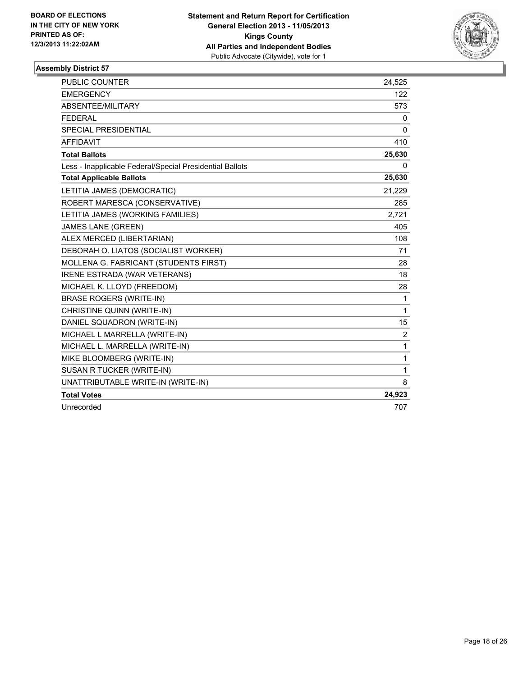

| <b>PUBLIC COUNTER</b>                                    | 24,525         |
|----------------------------------------------------------|----------------|
| <b>EMERGENCY</b>                                         | 122            |
| ABSENTEE/MILITARY                                        | 573            |
| <b>FEDERAL</b>                                           | 0              |
| <b>SPECIAL PRESIDENTIAL</b>                              | 0              |
| <b>AFFIDAVIT</b>                                         | 410            |
| <b>Total Ballots</b>                                     | 25,630         |
| Less - Inapplicable Federal/Special Presidential Ballots | 0              |
| <b>Total Applicable Ballots</b>                          | 25,630         |
| LETITIA JAMES (DEMOCRATIC)                               | 21,229         |
| ROBERT MARESCA (CONSERVATIVE)                            | 285            |
| LETITIA JAMES (WORKING FAMILIES)                         | 2.721          |
| <b>JAMES LANE (GREEN)</b>                                | 405            |
| ALEX MERCED (LIBERTARIAN)                                | 108            |
| DEBORAH O. LIATOS (SOCIALIST WORKER)                     | 71             |
| MOLLENA G. FABRICANT (STUDENTS FIRST)                    | 28             |
| IRENE ESTRADA (WAR VETERANS)                             | 18             |
| MICHAEL K. LLOYD (FREEDOM)                               | 28             |
| <b>BRASE ROGERS (WRITE-IN)</b>                           | $\mathbf{1}$   |
| CHRISTINE QUINN (WRITE-IN)                               | $\mathbf{1}$   |
| DANIEL SQUADRON (WRITE-IN)                               | 15             |
| MICHAEL L MARRELLA (WRITE-IN)                            | $\overline{2}$ |
| MICHAEL L. MARRELLA (WRITE-IN)                           | $\mathbf{1}$   |
| MIKE BLOOMBERG (WRITE-IN)                                | 1              |
| SUSAN R TUCKER (WRITE-IN)                                | $\mathbf{1}$   |
| UNATTRIBUTABLE WRITE-IN (WRITE-IN)                       | 8              |
| <b>Total Votes</b>                                       | 24,923         |
| Unrecorded                                               | 707            |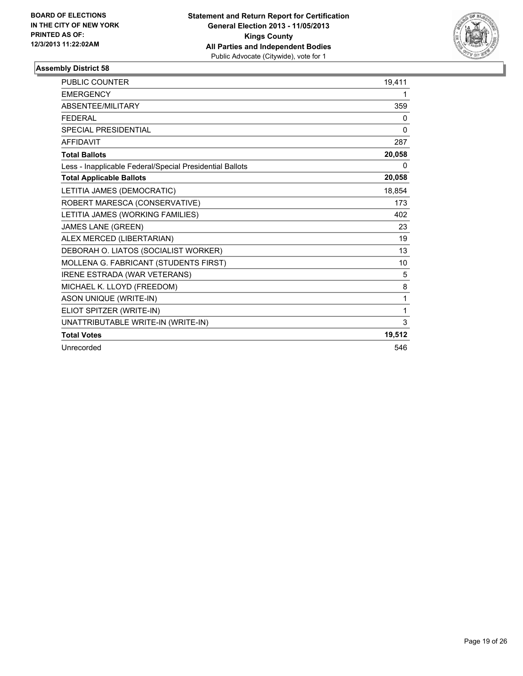

| PUBLIC COUNTER                                           | 19.411 |
|----------------------------------------------------------|--------|
| <b>EMERGENCY</b>                                         | 1      |
| ABSENTEE/MILITARY                                        | 359    |
| <b>FEDERAL</b>                                           | 0      |
| <b>SPECIAL PRESIDENTIAL</b>                              | 0      |
| <b>AFFIDAVIT</b>                                         | 287    |
| <b>Total Ballots</b>                                     | 20,058 |
| Less - Inapplicable Federal/Special Presidential Ballots | 0      |
| <b>Total Applicable Ballots</b>                          | 20,058 |
| LETITIA JAMES (DEMOCRATIC)                               | 18,854 |
| ROBERT MARESCA (CONSERVATIVE)                            | 173    |
| LETITIA JAMES (WORKING FAMILIES)                         | 402    |
| JAMES LANE (GREEN)                                       | 23     |
| ALEX MERCED (LIBERTARIAN)                                | 19     |
| DEBORAH O. LIATOS (SOCIALIST WORKER)                     | 13     |
| MOLLENA G. FABRICANT (STUDENTS FIRST)                    | 10     |
| <b>IRENE ESTRADA (WAR VETERANS)</b>                      | 5      |
| MICHAEL K. LLOYD (FREEDOM)                               | 8      |
| <b>ASON UNIQUE (WRITE-IN)</b>                            | 1      |
| ELIOT SPITZER (WRITE-IN)                                 | 1      |
| UNATTRIBUTABLE WRITE-IN (WRITE-IN)                       | 3      |
| <b>Total Votes</b>                                       | 19,512 |
| Unrecorded                                               | 546    |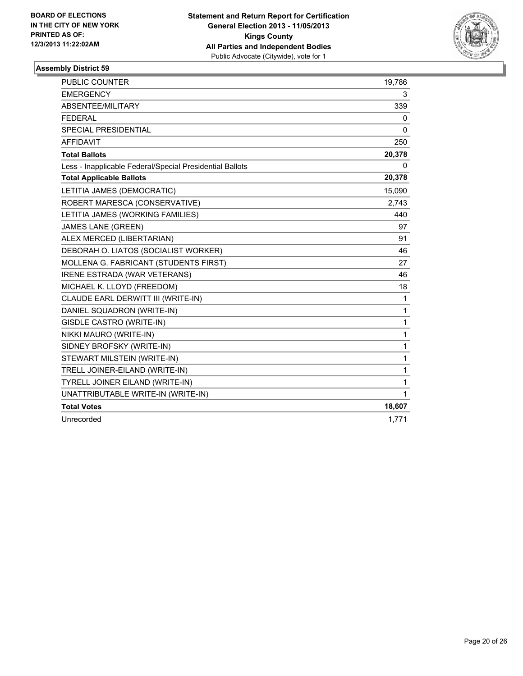

| <b>PUBLIC COUNTER</b>                                    | 19,786       |
|----------------------------------------------------------|--------------|
| <b>EMERGENCY</b>                                         | 3            |
| ABSENTEE/MILITARY                                        | 339          |
| <b>FEDERAL</b>                                           | 0            |
| <b>SPECIAL PRESIDENTIAL</b>                              | 0            |
| <b>AFFIDAVIT</b>                                         | 250          |
| <b>Total Ballots</b>                                     | 20,378       |
| Less - Inapplicable Federal/Special Presidential Ballots | 0            |
| <b>Total Applicable Ballots</b>                          | 20,378       |
| LETITIA JAMES (DEMOCRATIC)                               | 15,090       |
| ROBERT MARESCA (CONSERVATIVE)                            | 2,743        |
| LETITIA JAMES (WORKING FAMILIES)                         | 440          |
| <b>JAMES LANE (GREEN)</b>                                | 97           |
| ALEX MERCED (LIBERTARIAN)                                | 91           |
| DEBORAH O. LIATOS (SOCIALIST WORKER)                     | 46           |
| MOLLENA G. FABRICANT (STUDENTS FIRST)                    | 27           |
| <b>IRENE ESTRADA (WAR VETERANS)</b>                      | 46           |
| MICHAEL K. LLOYD (FREEDOM)                               | 18           |
| CLAUDE EARL DERWITT III (WRITE-IN)                       | $\mathbf 1$  |
| DANIEL SQUADRON (WRITE-IN)                               | $\mathbf{1}$ |
| GISDLE CASTRO (WRITE-IN)                                 | 1            |
| NIKKI MAURO (WRITE-IN)                                   | 1            |
| SIDNEY BROFSKY (WRITE-IN)                                | $\mathbf{1}$ |
| STEWART MILSTEIN (WRITE-IN)                              | $\mathbf 1$  |
| TRELL JOINER-EILAND (WRITE-IN)                           | 1            |
| TYRELL JOINER EILAND (WRITE-IN)                          | 1            |
| UNATTRIBUTABLE WRITE-IN (WRITE-IN)                       | $\mathbf{1}$ |
| <b>Total Votes</b>                                       | 18,607       |
| Unrecorded                                               | 1,771        |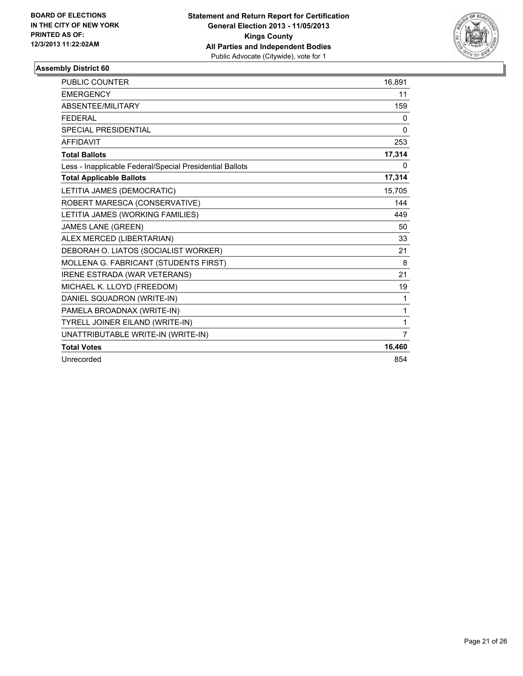

| <b>PUBLIC COUNTER</b>                                    | 16,891         |
|----------------------------------------------------------|----------------|
| <b>EMERGENCY</b>                                         | 11             |
| ABSENTEE/MILITARY                                        | 159            |
| <b>FEDERAL</b>                                           | 0              |
| SPECIAL PRESIDENTIAL                                     | $\Omega$       |
| <b>AFFIDAVIT</b>                                         | 253            |
| <b>Total Ballots</b>                                     | 17,314         |
| Less - Inapplicable Federal/Special Presidential Ballots | 0              |
| <b>Total Applicable Ballots</b>                          | 17,314         |
| LETITIA JAMES (DEMOCRATIC)                               | 15.705         |
| ROBERT MARESCA (CONSERVATIVE)                            | 144            |
| LETITIA JAMES (WORKING FAMILIES)                         | 449            |
| <b>JAMES LANE (GREEN)</b>                                | 50             |
| ALEX MERCED (LIBERTARIAN)                                | 33             |
| DEBORAH O. LIATOS (SOCIALIST WORKER)                     | 21             |
| MOLLENA G. FABRICANT (STUDENTS FIRST)                    | 8              |
| <b>IRENE ESTRADA (WAR VETERANS)</b>                      | 21             |
| MICHAEL K. LLOYD (FREEDOM)                               | 19             |
| DANIEL SQUADRON (WRITE-IN)                               | 1              |
| PAMELA BROADNAX (WRITE-IN)                               | 1              |
| TYRELL JOINER EILAND (WRITE-IN)                          | 1              |
| UNATTRIBUTABLE WRITE-IN (WRITE-IN)                       | $\overline{7}$ |
| <b>Total Votes</b>                                       | 16,460         |
| Unrecorded                                               | 854            |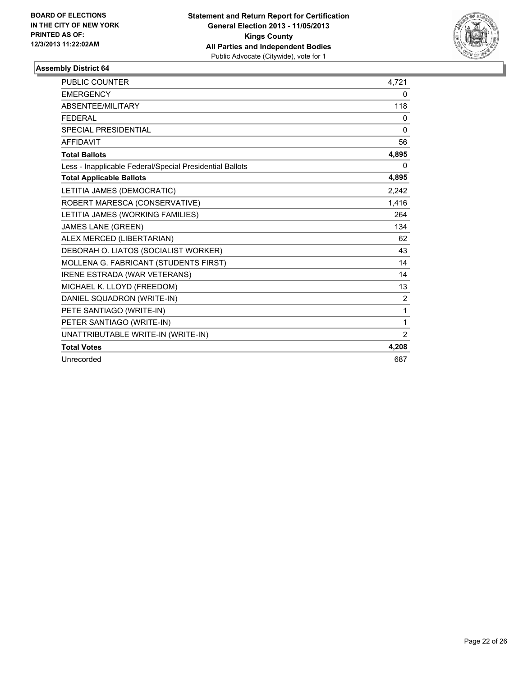

| <b>PUBLIC COUNTER</b>                                    | 4,721        |
|----------------------------------------------------------|--------------|
| <b>EMERGENCY</b>                                         | 0            |
| ABSENTEE/MILITARY                                        | 118          |
| <b>FEDERAL</b>                                           | 0            |
| <b>SPECIAL PRESIDENTIAL</b>                              | $\mathbf 0$  |
| <b>AFFIDAVIT</b>                                         | 56           |
| <b>Total Ballots</b>                                     | 4,895        |
| Less - Inapplicable Federal/Special Presidential Ballots | 0            |
| <b>Total Applicable Ballots</b>                          | 4,895        |
| LETITIA JAMES (DEMOCRATIC)                               | 2.242        |
| ROBERT MARESCA (CONSERVATIVE)                            | 1,416        |
| LETITIA JAMES (WORKING FAMILIES)                         | 264          |
| <b>JAMES LANE (GREEN)</b>                                | 134          |
| ALEX MERCED (LIBERTARIAN)                                | 62           |
| DEBORAH O. LIATOS (SOCIALIST WORKER)                     | 43           |
| MOLLENA G. FABRICANT (STUDENTS FIRST)                    | 14           |
| IRENE ESTRADA (WAR VETERANS)                             | 14           |
| MICHAEL K. LLOYD (FREEDOM)                               | 13           |
| DANIEL SQUADRON (WRITE-IN)                               | 2            |
| PETE SANTIAGO (WRITE-IN)                                 | $\mathbf{1}$ |
| PETER SANTIAGO (WRITE-IN)                                | $\mathbf{1}$ |
| UNATTRIBUTABLE WRITE-IN (WRITE-IN)                       | 2            |
| <b>Total Votes</b>                                       | 4,208        |
| Unrecorded                                               | 687          |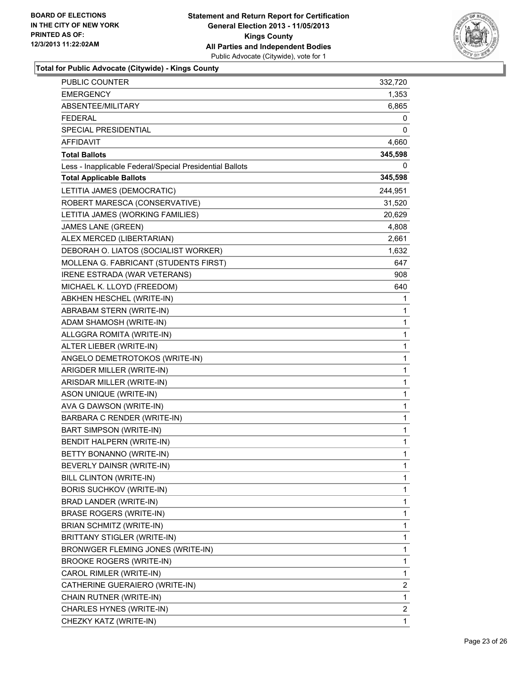

| PUBLIC COUNTER                                           | 332,720      |
|----------------------------------------------------------|--------------|
| <b>EMERGENCY</b>                                         | 1,353        |
| ABSENTEE/MILITARY                                        | 6,865        |
| <b>FEDERAL</b>                                           | 0            |
| SPECIAL PRESIDENTIAL                                     | 0            |
| <b>AFFIDAVIT</b>                                         | 4,660        |
| <b>Total Ballots</b>                                     | 345,598      |
| Less - Inapplicable Federal/Special Presidential Ballots | 0            |
| <b>Total Applicable Ballots</b>                          | 345,598      |
| LETITIA JAMES (DEMOCRATIC)                               | 244,951      |
| ROBERT MARESCA (CONSERVATIVE)                            | 31,520       |
| LETITIA JAMES (WORKING FAMILIES)                         | 20,629       |
| JAMES LANE (GREEN)                                       | 4,808        |
| ALEX MERCED (LIBERTARIAN)                                | 2,661        |
| DEBORAH O. LIATOS (SOCIALIST WORKER)                     | 1,632        |
| MOLLENA G. FABRICANT (STUDENTS FIRST)                    | 647          |
| IRENE ESTRADA (WAR VETERANS)                             | 908          |
| MICHAEL K. LLOYD (FREEDOM)                               | 640          |
| ABKHEN HESCHEL (WRITE-IN)                                | 1            |
| ABRABAM STERN (WRITE-IN)                                 | 1            |
| ADAM SHAMOSH (WRITE-IN)                                  | 1            |
| ALLGGRA ROMITA (WRITE-IN)                                | 1            |
| ALTER LIEBER (WRITE-IN)                                  | 1            |
| ANGELO DEMETROTOKOS (WRITE-IN)                           | 1            |
| ARIGDER MILLER (WRITE-IN)                                | 1            |
| ARISDAR MILLER (WRITE-IN)                                | 1            |
| ASON UNIQUE (WRITE-IN)                                   | 1            |
| AVA G DAWSON (WRITE-IN)                                  | 1            |
| BARBARA C RENDER (WRITE-IN)                              | 1            |
| BART SIMPSON (WRITE-IN)                                  | 1            |
| <b>BENDIT HALPERN (WRITE-IN)</b>                         | 1            |
| BETTY BONANNO (WRITE-IN)                                 | $\mathbf{1}$ |
| BEVERLY DAINSR (WRITE-IN)                                | 1            |
| BILL CLINTON (WRITE-IN)                                  | 1            |
| <b>BORIS SUCHKOV (WRITE-IN)</b>                          | 1            |
| BRAD LANDER (WRITE-IN)                                   | 1            |
| <b>BRASE ROGERS (WRITE-IN)</b>                           | 1            |
| BRIAN SCHMITZ (WRITE-IN)                                 | 1            |
| BRITTANY STIGLER (WRITE-IN)                              | 1            |
| BRONWGER FLEMING JONES (WRITE-IN)                        | 1            |
| BROOKE ROGERS (WRITE-IN)                                 | 1            |
| CAROL RIMLER (WRITE-IN)                                  | 1            |
| CATHERINE GUERAIERO (WRITE-IN)                           | 2            |
| CHAIN RUTNER (WRITE-IN)                                  | 1            |
| CHARLES HYNES (WRITE-IN)                                 | $\mathbf{2}$ |
| CHEZKY KATZ (WRITE-IN)                                   | 1            |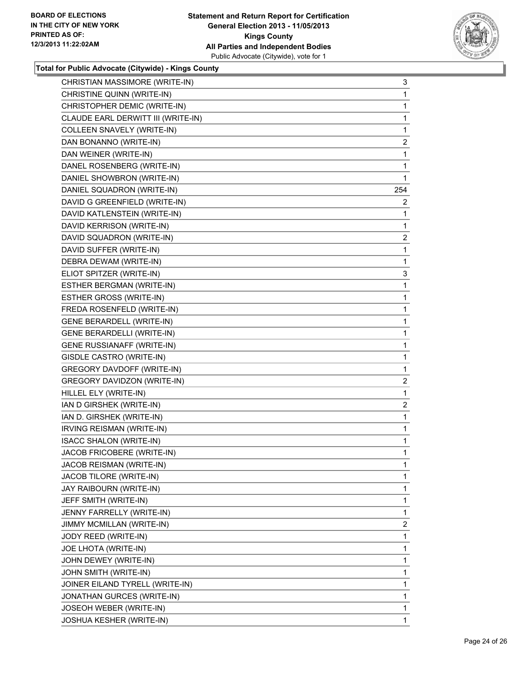

| CHRISTIAN MASSIMORE (WRITE-IN)     | 3   |
|------------------------------------|-----|
| CHRISTINE QUINN (WRITE-IN)         | 1   |
| CHRISTOPHER DEMIC (WRITE-IN)       | 1   |
| CLAUDE EARL DERWITT III (WRITE-IN) | 1   |
| COLLEEN SNAVELY (WRITE-IN)         | 1   |
| DAN BONANNO (WRITE-IN)             | 2   |
| DAN WEINER (WRITE-IN)              | 1   |
| DANEL ROSENBERG (WRITE-IN)         | 1   |
| DANIEL SHOWBRON (WRITE-IN)         | 1   |
| DANIEL SQUADRON (WRITE-IN)         | 254 |
| DAVID G GREENFIELD (WRITE-IN)      | 2   |
| DAVID KATLENSTEIN (WRITE-IN)       | 1   |
| DAVID KERRISON (WRITE-IN)          | 1   |
| DAVID SQUADRON (WRITE-IN)          | 2   |
| DAVID SUFFER (WRITE-IN)            | 1   |
| DEBRA DEWAM (WRITE-IN)             | 1   |
| ELIOT SPITZER (WRITE-IN)           | 3   |
| ESTHER BERGMAN (WRITE-IN)          | 1   |
| <b>ESTHER GROSS (WRITE-IN)</b>     | 1   |
| FREDA ROSENFELD (WRITE-IN)         | 1   |
| <b>GENE BERARDELL (WRITE-IN)</b>   | 1   |
| GENE BERARDELLI (WRITE-IN)         | 1   |
| <b>GENE RUSSIANAFF (WRITE-IN)</b>  | 1   |
| GISDLE CASTRO (WRITE-IN)           | 1   |
| <b>GREGORY DAVDOFF (WRITE-IN)</b>  | 1   |
| GREGORY DAVIDZON (WRITE-IN)        | 2   |
| HILLEL ELY (WRITE-IN)              | 1   |
| IAN D GIRSHEK (WRITE-IN)           | 2   |
| IAN D. GIRSHEK (WRITE-IN)          | 1   |
| IRVING REISMAN (WRITE-IN)          | 1   |
| <b>ISACC SHALON (WRITE-IN)</b>     | 1   |
| JACOB FRICOBERE (WRITE-IN)         | 1   |
| JACOB REISMAN (WRITE-IN)           | 1   |
| JACOB TILORE (WRITE-IN)            | 1   |
| JAY RAIBOURN (WRITE-IN)            | 1   |
| JEFF SMITH (WRITE-IN)              | 1   |
| JENNY FARRELLY (WRITE-IN)          | 1   |
| JIMMY MCMILLAN (WRITE-IN)          | 2   |
| JODY REED (WRITE-IN)               | 1   |
| JOE LHOTA (WRITE-IN)               | 1   |
| JOHN DEWEY (WRITE-IN)              | 1   |
| JOHN SMITH (WRITE-IN)              | 1   |
| JOINER EILAND TYRELL (WRITE-IN)    | 1   |
| JONATHAN GURCES (WRITE-IN)         | 1   |
| JOSEOH WEBER (WRITE-IN)            | 1   |
| JOSHUA KESHER (WRITE-IN)           | 1   |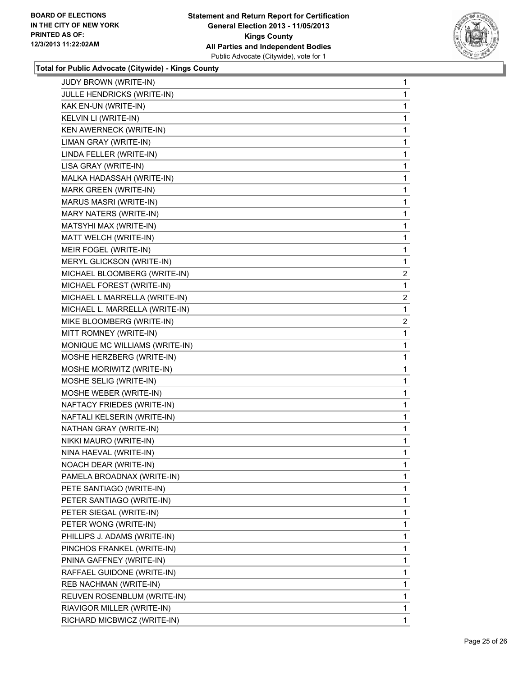

| 1              |
|----------------|
| 1              |
| 1              |
| 1              |
| 1              |
| 1              |
| 1              |
| 1              |
| 1              |
| 1              |
| 1              |
| 1              |
| 1              |
| 1              |
| 1              |
| $\overline{2}$ |
| 1              |
| 2              |
| 1              |
| 2              |
| 1              |
| 1              |
| 1              |
|                |
| 1              |
| 1              |
| 1              |
| 1              |
| 1              |
| 1              |
| 1              |
| 1              |
| 1              |
| 1              |
| 1              |
| 1              |
| 1              |
| 1              |
| 1              |
| 1              |
| 1              |
| 1              |
| 1              |
| 1              |
| 1              |
|                |